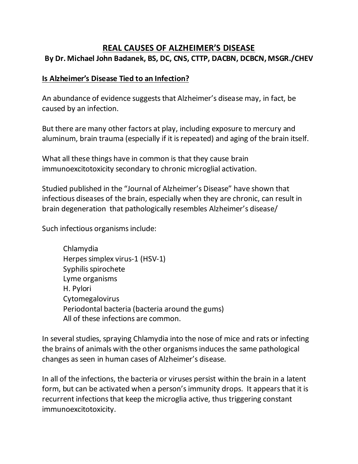## **REAL CAUSES OF ALZHEIMER'S DISEASE By Dr. Michael John Badanek, BS, DC, CNS, CTTP, DACBN, DCBCN, MSGR./CHEV**

## **Is Alzheimer's Disease Tied to an Infection?**

An abundance of evidence suggests that Alzheimer's disease may, in fact, be caused by an infection.

But there are many other factors at play, including exposure to mercury and aluminum, brain trauma (especially if it is repeated) and aging of the brain itself.

What all these things have in common is that they cause brain immunoexcitotoxicity secondary to chronic microglial activation.

Studied published in the "Journal of Alzheimer's Disease" have shown that infectious diseases of the brain, especially when they are chronic, can result in brain degeneration that pathologically resembles Alzheimer's disease/

Such infectious organisms include:

Chlamydia Herpes simplex virus-1 (HSV-1) Syphilis spirochete Lyme organisms H. Pylori Cytomegalovirus Periodontal bacteria (bacteria around the gums) All of these infections are common.

In several studies, spraying Chlamydia into the nose of mice and rats or infecting the brains of animals with the other organisms induces the same pathological changes as seen in human cases of Alzheimer's disease.

In all of the infections, the bacteria or viruses persist within the brain in a latent form, but can be activated when a person's immunity drops. It appears that it is recurrent infections that keep the microglia active, thus triggering constant immunoexcitotoxicity.